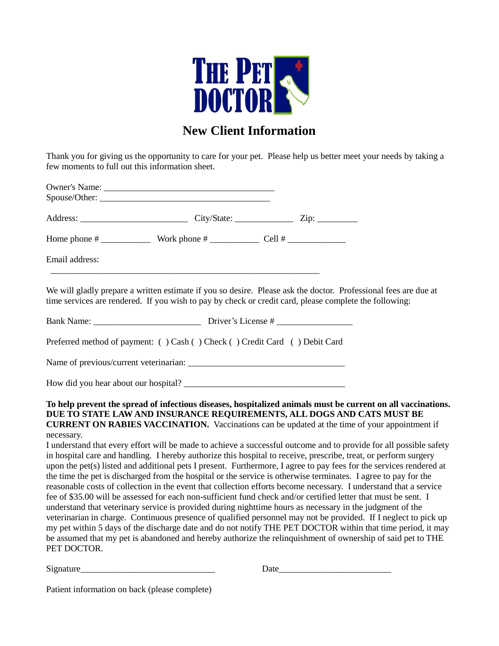

## **New Client Information**

Thank you for giving us the opportunity to care for your pet. Please help us better meet your needs by taking a few moments to full out this information sheet.

| Email address: |                                                                                                                                                                                                                                                                                                                                                                                                                                                                                                                                                                                                                                                                                                                                                                                                                                                                                                                                                                                                                                                                                                                                                                                        |  |  |
|----------------|----------------------------------------------------------------------------------------------------------------------------------------------------------------------------------------------------------------------------------------------------------------------------------------------------------------------------------------------------------------------------------------------------------------------------------------------------------------------------------------------------------------------------------------------------------------------------------------------------------------------------------------------------------------------------------------------------------------------------------------------------------------------------------------------------------------------------------------------------------------------------------------------------------------------------------------------------------------------------------------------------------------------------------------------------------------------------------------------------------------------------------------------------------------------------------------|--|--|
|                | We will gladly prepare a written estimate if you so desire. Please ask the doctor. Professional fees are due at<br>time services are rendered. If you wish to pay by check or credit card, please complete the following:                                                                                                                                                                                                                                                                                                                                                                                                                                                                                                                                                                                                                                                                                                                                                                                                                                                                                                                                                              |  |  |
|                |                                                                                                                                                                                                                                                                                                                                                                                                                                                                                                                                                                                                                                                                                                                                                                                                                                                                                                                                                                                                                                                                                                                                                                                        |  |  |
|                | Preferred method of payment: () Cash () Check () Credit Card () Debit Card                                                                                                                                                                                                                                                                                                                                                                                                                                                                                                                                                                                                                                                                                                                                                                                                                                                                                                                                                                                                                                                                                                             |  |  |
|                |                                                                                                                                                                                                                                                                                                                                                                                                                                                                                                                                                                                                                                                                                                                                                                                                                                                                                                                                                                                                                                                                                                                                                                                        |  |  |
|                |                                                                                                                                                                                                                                                                                                                                                                                                                                                                                                                                                                                                                                                                                                                                                                                                                                                                                                                                                                                                                                                                                                                                                                                        |  |  |
| necessary.     | To help prevent the spread of infectious diseases, hospitalized animals must be current on all vaccinations.<br>DUE TO STATE LAW AND INSURANCE REQUIREMENTS, ALL DOGS AND CATS MUST BE<br><b>CURRENT ON RABIES VACCINATION.</b> Vaccinations can be updated at the time of your appointment if                                                                                                                                                                                                                                                                                                                                                                                                                                                                                                                                                                                                                                                                                                                                                                                                                                                                                         |  |  |
| PET DOCTOR.    | I understand that every effort will be made to achieve a successful outcome and to provide for all possible safety<br>in hospital care and handling. I hereby authorize this hospital to receive, prescribe, treat, or perform surgery<br>upon the pet(s) listed and additional pets I present. Furthermore, I agree to pay fees for the services rendered at<br>the time the pet is discharged from the hospital or the service is otherwise terminates. I agree to pay for the<br>reasonable costs of collection in the event that collection efforts become necessary. I understand that a service<br>fee of \$35.00 will be assessed for each non-sufficient fund check and/or certified letter that must be sent. I<br>understand that veterinary service is provided during nighttime hours as necessary in the judgment of the<br>veterinarian in charge. Continuous presence of qualified personnel may not be provided. If I neglect to pick up<br>my pet within 5 days of the discharge date and do not notify THE PET DOCTOR within that time period, it may<br>be assumed that my pet is abandoned and hereby authorize the relinquishment of ownership of said pet to THE |  |  |

Signature\_\_\_\_\_\_\_\_\_\_\_\_\_\_\_\_\_\_\_\_\_\_\_\_\_\_\_\_\_\_ Date\_\_\_\_\_\_\_\_\_\_\_\_\_\_\_\_\_\_\_\_\_\_\_\_\_

Patient information on back (please complete)